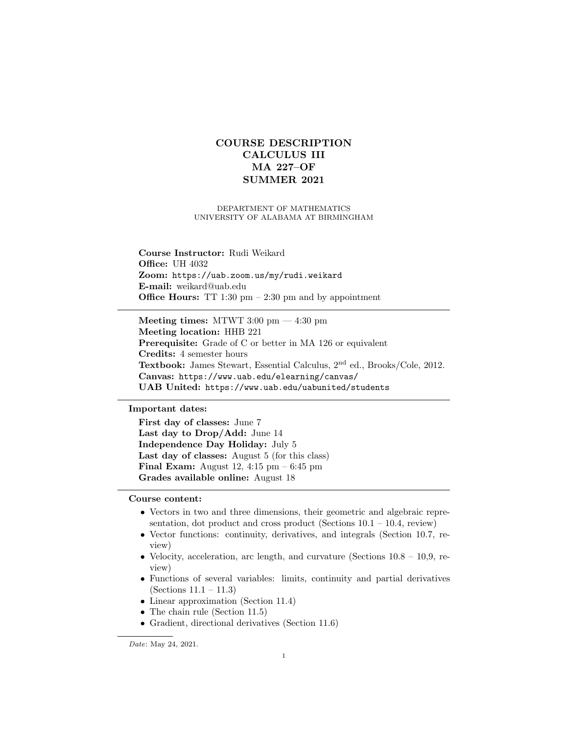# COURSE DESCRIPTION CALCULUS III MA 227–OF SUMMER 2021

# DEPARTMENT OF MATHEMATICS UNIVERSITY OF ALABAMA AT BIRMINGHAM

Course Instructor: Rudi Weikard **Office: UH 4032** Zoom: https://uab.zoom.us/my/rudi.weikard E-mail: weikard@uab.edu **Office Hours:** TT 1:30 pm  $- 2:30$  pm and by appointment

Meeting times: MTWT 3:00 pm — 4:30 pm Meeting location: HHB 221 Prerequisite: Grade of C or better in MA 126 or equivalent Credits: 4 semester hours Textbook: James Stewart, Essential Calculus, 2nd ed., Brooks/Cole, 2012. Canvas: https://www.uab.edu/elearning/canvas/ UAB United: https://www.uab.edu/uabunited/students

# Important dates:

First day of classes: June 7 Last day to Drop/Add: June 14 Independence Day Holiday: July 5 Last day of classes: August 5 (for this class) **Final Exam:** August 12, 4:15 pm  $-6:45$  pm Grades available online: August 18

Course content:

- Vectors in two and three dimensions, their geometric and algebraic representation, dot product and cross product (Sections  $10.1 - 10.4$ , review)
- Vector functions: continuity, derivatives, and integrals (Section 10.7, review)
- Velocity, acceleration, arc length, and curvature (Sections  $10.8 10.9$ , review)
- Functions of several variables: limits, continuity and partial derivatives (Sections 11.1 – 11.3)
- Linear approximation (Section 11.4)
- The chain rule (Section 11.5)
- Gradient, directional derivatives (Section 11.6)

Date: May 24, 2021.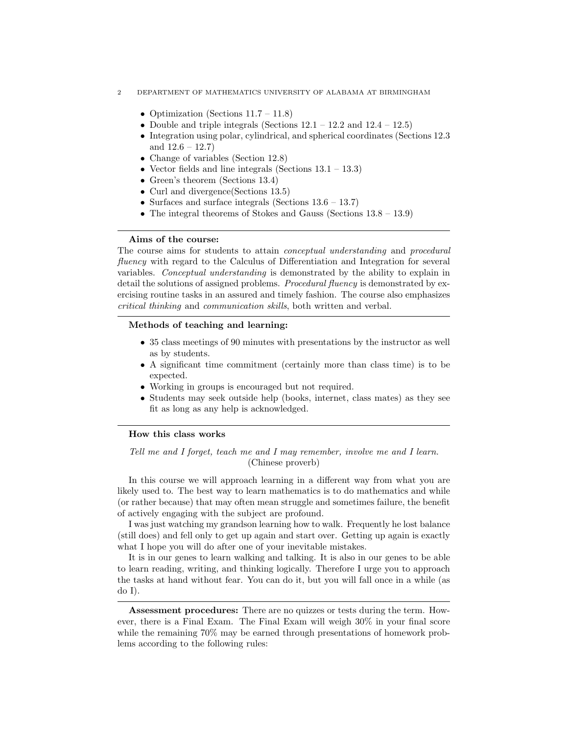- 2 DEPARTMENT OF MATHEMATICS UNIVERSITY OF ALABAMA AT BIRMINGHAM
	- Optimization (Sections  $11.7 11.8$ )
	- Double and triple integrals (Sections  $12.1 12.2$  and  $12.4 12.5$ )
	- Integration using polar, cylindrical, and spherical coordinates (Sections 12.3 and  $12.6 - 12.7$
	- Change of variables (Section 12.8)
	- Vector fields and line integrals (Sections  $13.1 13.3$ )
	- Green's theorem (Sections 13.4)
	- Curl and divergence (Sections 13.5)
	- Surfaces and surface integrals (Sections  $13.6 13.7$ )
	- The integral theorems of Stokes and Gauss (Sections 13.8 13.9)

### Aims of the course:

The course aims for students to attain conceptual understanding and procedural fluency with regard to the Calculus of Differentiation and Integration for several variables. Conceptual understanding is demonstrated by the ability to explain in detail the solutions of assigned problems. Procedural fluency is demonstrated by exercising routine tasks in an assured and timely fashion. The course also emphasizes critical thinking and communication skills, both written and verbal.

# Methods of teaching and learning:

- 35 class meetings of 90 minutes with presentations by the instructor as well as by students.
- A significant time commitment (certainly more than class time) is to be expected.
- Working in groups is encouraged but not required.
- Students may seek outside help (books, internet, class mates) as they see fit as long as any help is acknowledged.

#### How this class works

# Tell me and I forget, teach me and I may remember, involve me and I learn. (Chinese proverb)

In this course we will approach learning in a different way from what you are likely used to. The best way to learn mathematics is to do mathematics and while (or rather because) that may often mean struggle and sometimes failure, the benefit of actively engaging with the subject are profound.

I was just watching my grandson learning how to walk. Frequently he lost balance (still does) and fell only to get up again and start over. Getting up again is exactly what I hope you will do after one of your inevitable mistakes.

It is in our genes to learn walking and talking. It is also in our genes to be able to learn reading, writing, and thinking logically. Therefore I urge you to approach the tasks at hand without fear. You can do it, but you will fall once in a while (as do I).

Assessment procedures: There are no quizzes or tests during the term. However, there is a Final Exam. The Final Exam will weigh 30% in your final score while the remaining 70% may be earned through presentations of homework problems according to the following rules: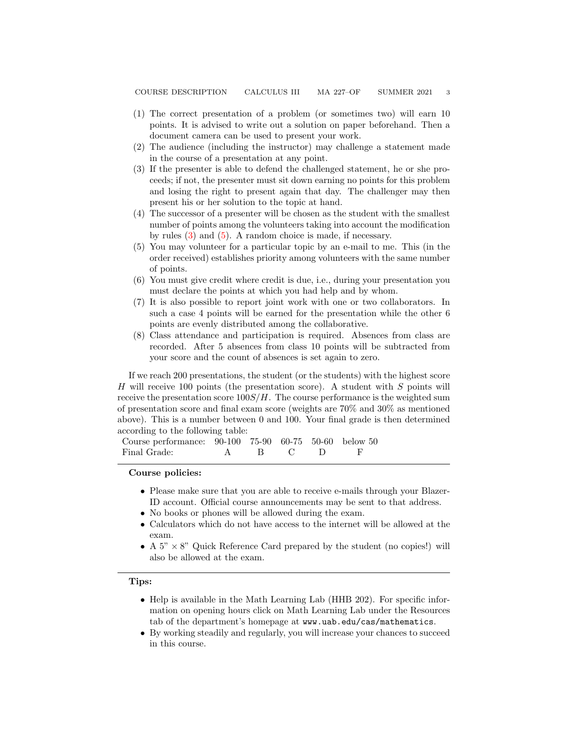- (1) The correct presentation of a problem (or sometimes two) will earn 10 points. It is advised to write out a solution on paper beforehand. Then a document camera can be used to present your work.
- (2) The audience (including the instructor) may challenge a statement made in the course of a presentation at any point.
- <span id="page-2-0"></span>(3) If the presenter is able to defend the challenged statement, he or she proceeds; if not, the presenter must sit down earning no points for this problem and losing the right to present again that day. The challenger may then present his or her solution to the topic at hand.
- (4) The successor of a presenter will be chosen as the student with the smallest number of points among the volunteers taking into account the modification by rules [\(3\)](#page-2-0) and [\(5\)](#page-2-1). A random choice is made, if necessary.
- <span id="page-2-1"></span>(5) You may volunteer for a particular topic by an e-mail to me. This (in the order received) establishes priority among volunteers with the same number of points.
- (6) You must give credit where credit is due, i.e., during your presentation you must declare the points at which you had help and by whom.
- (7) It is also possible to report joint work with one or two collaborators. In such a case 4 points will be earned for the presentation while the other 6 points are evenly distributed among the collaborative.
- (8) Class attendance and participation is required. Absences from class are recorded. After 5 absences from class 10 points will be subtracted from your score and the count of absences is set again to zero.

If we reach 200 presentations, the student (or the students) with the highest score H will receive 100 points (the presentation score). A student with  $S$  points will receive the presentation score  $100S/H$ . The course performance is the weighted sum of presentation score and final exam score (weights are 70% and 30% as mentioned above). This is a number between 0 and 100. Your final grade is then determined according to the following table:

Course performance: 90-100 75-90 60-75 50-60 below 50 Final Grade: A B C D F

### Course policies:

- Please make sure that you are able to receive e-mails through your Blazer-ID account. Official course announcements may be sent to that address.
- No books or phones will be allowed during the exam.
- Calculators which do not have access to the internet will be allowed at the exam.
- A  $5" \times 8"$  Quick Reference Card prepared by the student (no copies!) will also be allowed at the exam.

#### Tips:

- Help is available in the Math Learning Lab (HHB 202). For specific information on opening hours click on Math Learning Lab under the Resources tab of the department's homepage at www.uab.edu/cas/mathematics.
- By working steadily and regularly, you will increase your chances to succeed in this course.